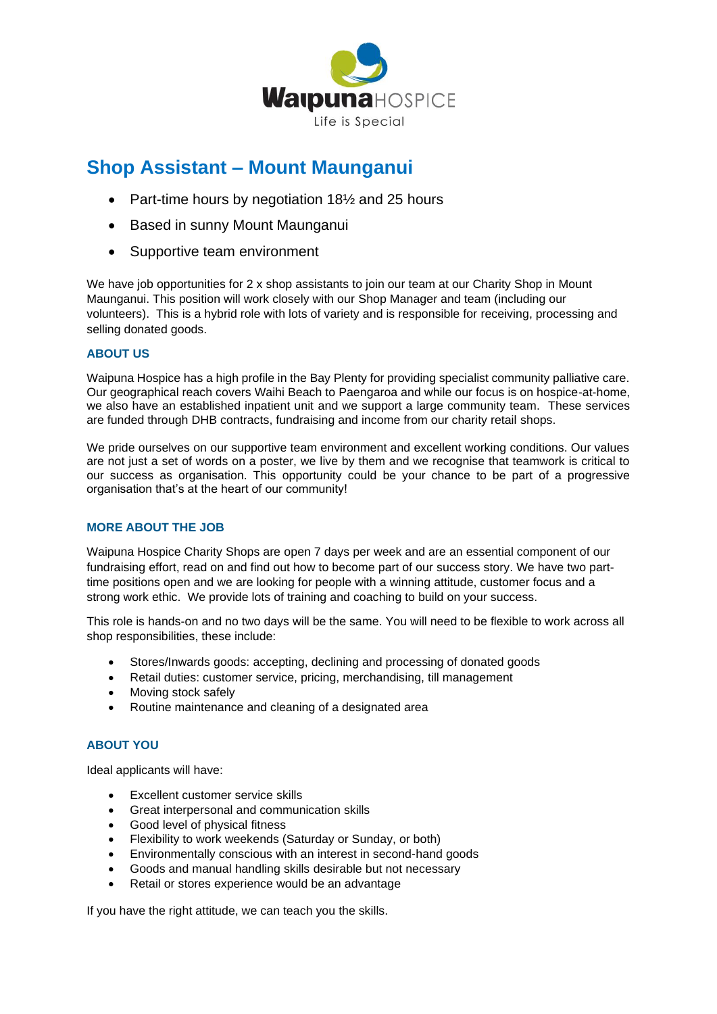

# **Shop Assistant – Mount Maunganui**

- Part-time hours by negotiation 181/<sub>2</sub> and 25 hours
- Based in sunny Mount Maunganui
- Supportive team environment

We have job opportunities for 2 x shop assistants to join our team at our Charity Shop in Mount Maunganui. This position will work closely with our Shop Manager and team (including our volunteers). This is a hybrid role with lots of variety and is responsible for receiving, processing and selling donated goods.

# **ABOUT US**

Waipuna Hospice has a high profile in the Bay Plenty for providing specialist community palliative care. Our geographical reach covers Waihi Beach to Paengaroa and while our focus is on hospice-at-home, we also have an established inpatient unit and we support a large community team. These services are funded through DHB contracts, fundraising and income from our charity retail shops.

We pride ourselves on our supportive team environment and excellent working conditions. Our values are not just a set of words on a poster, we live by them and we recognise that teamwork is critical to our success as organisation. This opportunity could be your chance to be part of a progressive organisation that's at the heart of our community!

# **MORE ABOUT THE JOB**

Waipuna Hospice Charity Shops are open 7 days per week and are an essential component of our fundraising effort, read on and find out how to become part of our success story. We have two parttime positions open and we are looking for people with a winning attitude, customer focus and a strong work ethic. We provide lots of training and coaching to build on your success.

This role is hands-on and no two days will be the same. You will need to be flexible to work across all shop responsibilities, these include:

- Stores/Inwards goods: accepting, declining and processing of donated goods
- Retail duties: customer service, pricing, merchandising, till management
- Moving stock safely
- Routine maintenance and cleaning of a designated area

# **ABOUT YOU**

Ideal applicants will have:

- Excellent customer service skills
- Great interpersonal and communication skills
- Good level of physical fitness
- Flexibility to work weekends (Saturday or Sunday, or both)
- Environmentally conscious with an interest in second-hand goods
- Goods and manual handling skills desirable but not necessary
- Retail or stores experience would be an advantage

If you have the right attitude, we can teach you the skills.